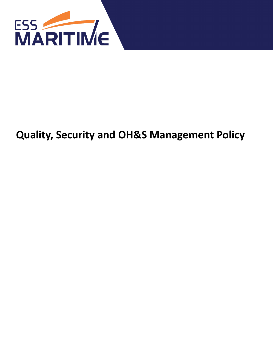

# **Quality, Security and OH&S Management Policy**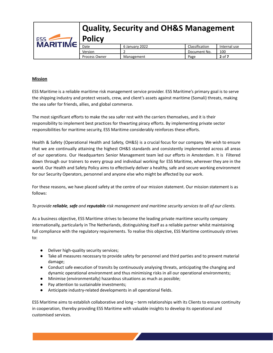| ESS <b>ARITIME</b> | <b>Quality, Security and OH&amp;S Management</b><br><b>Policy</b> |                |                |              |  |
|--------------------|-------------------------------------------------------------------|----------------|----------------|--------------|--|
|                    | Date                                                              | 6 January 2022 | Classification | Internal use |  |
|                    | Version                                                           |                | Document No.   | 100          |  |
|                    | <b>Process Owner</b>                                              | Management     | Page           | $2$ of $7$   |  |

# **Mission**

ESS Maritime is a reliable maritime risk management service provider. ESS Maritime's primary goal is to serve the shipping industry and protect vessels, crew, and client's assets against maritime (Somali) threats, making the sea safer for friends, allies, and global commerce.

The most significant efforts to make the sea safer rest with the carriers themselves, and it is their responsibility to implement best practices for thwarting piracy efforts. By implementing private sector responsibilities for maritime security, ESS Maritime considerably reinforces these efforts.

Health & Safety (Operational Health and Safety, OH&S) is a crucial focus for our company. We wish to ensure that we are continually attaining the highest OH&S standards and consistently implemented across all areas of our operations. Our Headquarters Senior Management team led our efforts in Amsterdam. It is Filtered down through our trainers to every group and individual working for ESS Maritime, wherever they are in the world. Our Health and Safety Policy aims to effectively deliver a healthy, safe and secure working environment for our Security Operators, personnel and anyone else who might be affected by our work.

For these reasons, we have placed safety at the centre of our mission statement. Our mission statement is as follows:

# *To provide reliable, safe and reputable risk management and maritime security services to all of our clients.*

As a business objective, ESS Maritime strives to become the leading private maritime security company internationally, particularly in The Netherlands, distinguishing itself as a reliable partner whilst maintaining full compliance with the regulatory requirements. To realise this objective, ESS Maritime continuously strives to:

- Deliver high-quality security services;
- Take all measures necessary to provide safety for personnel and third parties and to prevent material damage;
- Conduct safe execution of transits by continuously analysing threats, anticipating the changing and dynamic operational environment and thus minimising risks in all our operational environments;
- Minimise (environmentally) hazardous situations as much as possible;
- Pay attention to sustainable investments;
- Anticipate industry-related developments in all operational fields.

ESS Maritime aims to establish collaborative and long – term relationships with its Clients to ensure continuity in cooperation, thereby providing ESS Maritime with valuable insights to develop its operational and customised services.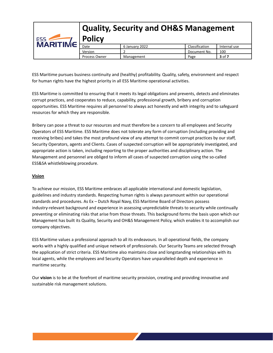| ESS <b>ARITIME</b> | <b>Quality, Security and OH&amp;S Management</b><br><b>Policy</b> |                |                |              |  |  |
|--------------------|-------------------------------------------------------------------|----------------|----------------|--------------|--|--|
|                    | Date                                                              | 6 January 2022 | Classification | Internal use |  |  |
|                    | Version                                                           |                | Document No.   | 100          |  |  |
|                    | <b>Process Owner</b>                                              | Management     | Page           | $3$ of $7$   |  |  |

ESS Maritime pursues business continuity and (healthy) profitability. Quality, safety, environment and respect for human rights have the highest priority in all ESS Maritime operational activities.

ESS Maritime is committed to ensuring that it meets its legal obligations and prevents, detects and eliminates corrupt practices, and cooperates to reduce, capability, professional growth, bribery and corruption opportunities. ESS Maritime requires all personnel to always act honestly and with integrity and to safeguard resources for which they are responsible.

Bribery can pose a threat to our resources and must therefore be a concern to all employees and Security Operators of ESS Maritime. ESS Maritime does not tolerate any form of corruption (including providing and receiving bribes) and takes the most profound view of any attempt to commit corrupt practices by our staff, Security Operators, agents and Clients. Cases of suspected corruption will be appropriately investigated, and appropriate action is taken, including reporting to the proper authorities and disciplinary action. The Management and personnel are obliged to inform all cases of suspected corruption using the so-called ESS&SA whistleblowing procedure.

# **Vision**

To achieve our mission, ESS Maritime embraces all applicable international and domestic legislation, guidelines and industry standards. Respecting human rights is always paramount within our operational standards and procedures. As Ex – Dutch Royal Navy, ESS Maritime Board of Directors possess industry-relevant background and experience in assessing unpredictable threats to security while continually preventing or eliminating risks that arise from those threats. This background forms the basis upon which our Management has built its Quality, Security and OH&S Management Policy, which enables it to accomplish our company objectives.

ESS Maritime values a professional approach to all its endeavours. In all operational fields, the company works with a highly qualified and unique network of professionals. Our Security Teams are selected through the application of strict criteria. ESS Maritime also maintains close and longstanding relationships with its local agents, while the employees and Security Operators have unparalleled depth and experience in maritime security.

Our **vision** is to be at the forefront of maritime security provision, creating and providing innovative and sustainable risk management solutions.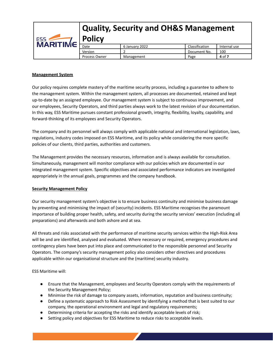

## **Management System**

Our policy requires complete mastery of the maritime security process, including a guarantee to adhere to the management system. Within the management system, all processes are documented, retained and kept up-to-date by an assigned employee. Our management system is subject to continuous improvement, and our employees, Security Operators, and third parties always work to the latest revision of our documentation. In this way, ESS Maritime pursues constant professional growth, integrity, flexibility, loyalty, capability, and forward-thinking of its employees and Security Operators.

The company and its personnel will always comply with applicable national and international legislation, laws, regulations, industry codes imposed on ESS Maritime, and its policy while considering the more specific policies of our clients, third parties, authorities and customers.

The Management provides the necessary resources, information and is always available for consultation. Simultaneously, management will monitor compliance with our policies which are documented in our integrated management system. Specific objectives and associated performance indicators are investigated appropriately in the annual goals, programmes and the company handbook.

#### **Security Management Policy**

Our security management system's objective is to ensure business continuity and minimise business damage by preventing and minimising the impact of (security) incidents. ESS Maritime recognises the paramount importance of building proper health, safety, and security during the security services' execution (including all preparations) and afterwards and both ashore and at sea.

All threats and risks associated with the performance of maritime security services within the High-Risk Area will be and are identified, analysed and evaluated. Where necessary or required, emergency procedures and contingency plans have been put into place and communicated to the responsible personnel and Security Operators. The company's security management policy also considers other directives and procedures applicable within our organisational structure and the (maritime) security industry.

ESS Maritime will:

- Ensure that the Management, employees and Security Operators comply with the requirements of the Security Management Policy;
- Minimise the risk of damage to company assets, information, reputation and business continuity;
- Define a systematic approach to Risk Assessment by identifying a method that is best suited to our company, the operational environment and legal and regulatory requirements;
- Determining criteria for accepting the risks and identify acceptable levels of risk;
- Setting policy and objectives for ESS Maritime to reduce risks to acceptable levels.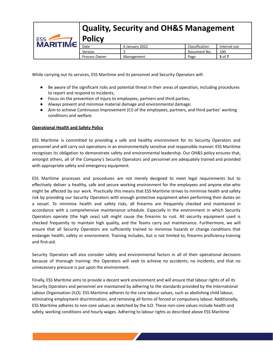# **Quality, Security and OH&S Management Policy** ESS 5 **MARITIME** 6 January 2022 **Classification** Internal use Version 2 2 Document No. 100 Process Owner Management Page 5 of 7

While carrying out its services, ESS Maritime and its personnel and Security Operators will:

- Be aware of the significant risks and potential threat in their areas of operation, including procedures to report and respond to incidents;
- Focus on the prevention of injury to employees, partners and third parties;
- Always prevent and minimise material damage and environmental damage;
- Aim to achieve Continuous Improvement (CI) of the employees, partners, and third parties' working conditions and welfare.

# **Operational Health and Safety Policy**

ESS Maritime is committed to providing a safe and healthy environment for its Security Operators and personnel and will carry out operations in an environmentally sensitive and responsible manner. ESS Maritime recognises its obligation to demonstrate safety and environmental leadership. Our OH&S policy ensures that, amongst others, all of the Company's Security Operators and personnel are adequately trained and provided with appropriate safety and emergency equipment.

ESS Maritime processes and procedures are not merely designed to meet legal requirements but to effectively deliver a healthy, safe and secure working environment for the employees and anyone else who might be affected by our work. Practically this means that ESS Maritime strives to minimise health and safety risk by providing our Security Operators with enough protective equipment when performing their duties on a vessel. To minimise health and safety risks, all firearms are frequently checked and maintained in accordance with a comprehensive maintenance schedule. Especially in the environment in which Security Operators operate (the high seas) salt might cause the firearms to rust. All security equipment used is checked frequently to maintain high quality, and the Teams carry out maintenance. Furthermore, we will ensure that all Security Operators are sufficiently trained to minimise hazards or change conditions that endanger health, safety or environment. Training includes, but is not limited to, firearms proficiency training and first-aid.

Security Operators will also consider safety and environmental factors in all of their operational decisions because of thorough training: the Operators will seek to achieve no accidents, no incidents, and that no unnecessary pressure is put upon the environment.

Finally, ESS Maritime aims to provide a decent work environment and will ensure that labour rights of all its Security Operators and personnel are maintained by adhering to the standards provided by the International Labour Organisation (ILO). ESS Maritime adheres to the core labour values, such as abolishing child labour, eliminating employment discrimination, and removing all forms of forced or compulsory labour. Additionally, ESS Maritime adheres to non-core values as sketched by the ILO. These non-core values include health and safety, working conditions and hourly wages. Adhering to labour rights as described above ESS Maritime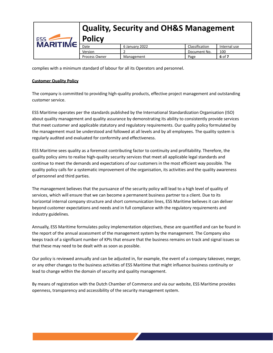

complies with a minimum standard of labour for all its Operators and personnel.

## **Customer Quality Policy**

The company is committed to providing high-quality products, effective project management and outstanding customer service.

ESS Maritime operates per the standards published by the International Standardization Organisation (ISO) about quality management and quality assurance by demonstrating its ability to consistently provide services that meet customer and applicable statutory and regulatory requirements. Our quality policy formulated by the management must be understood and followed at all levels and by all employees. The quality system is regularly audited and evaluated for conformity and effectiveness.

ESS Maritime sees quality as a foremost contributing factor to continuity and profitability. Therefore, the quality policy aims to realise high-quality security services that meet all applicable legal standards and continue to meet the demands and expectations of our customers in the most efficient way possible. The quality policy calls for a systematic improvement of the organisation, its activities and the quality awareness of personnel and third parties.

The management believes that the pursuance of the security policy will lead to a high level of quality of services, which will ensure that we can become a permanent business partner to a client. Due to its horizontal internal company structure and short communication lines, ESS Maritime believes it can deliver beyond customer expectations and needs and in full compliance with the regulatory requirements and industry guidelines.

Annually, ESS Maritime formulates policy implementation objectives, these are quantified and can be found in the report of the annual assessment of the management system by the management. The Company also keeps track of a significant number of KPIs that ensure that the business remains on track and signal issues so that these may need to be dealt with as soon as possible.

Our policy is reviewed annually and can be adjusted in, for example, the event of a company takeover, merger, or any other changes to the business activities of ESS Maritime that might influence business continuity or lead to change within the domain of security and quality management.

By means of registration with the Dutch Chamber of Commerce and via our website, ESS Maritime provides openness, transparency and accessibility of the security management system.